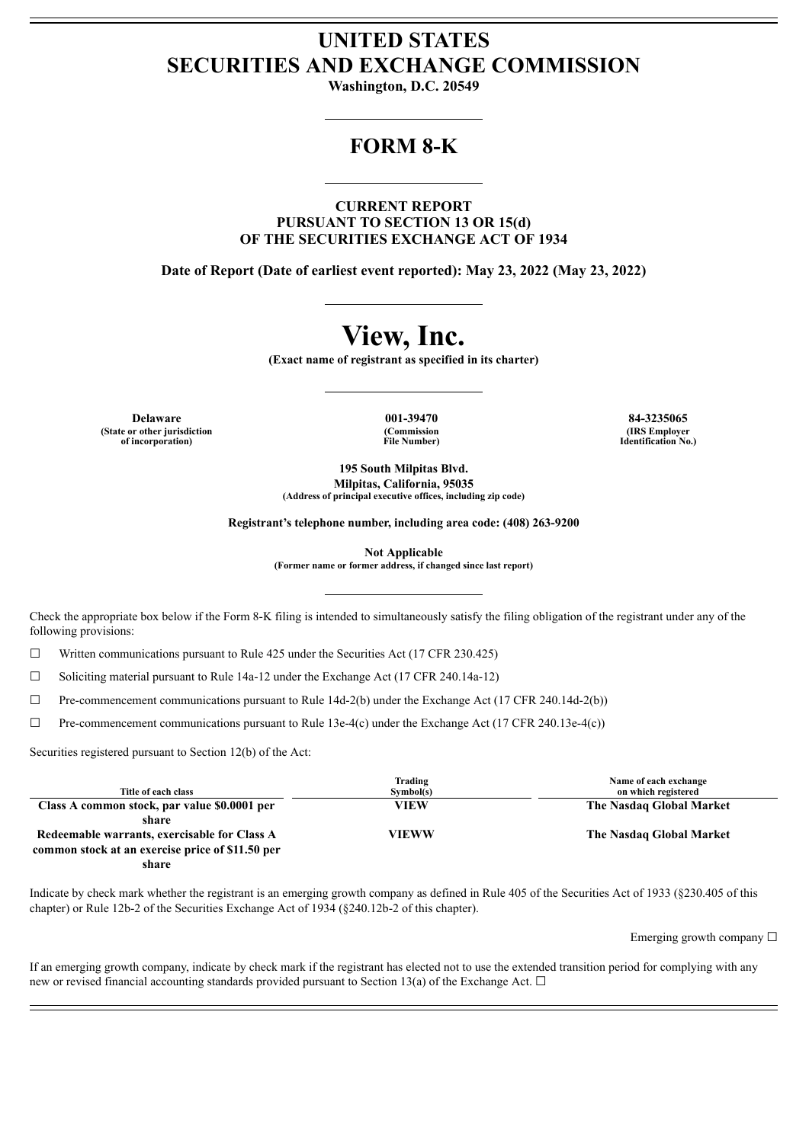# **UNITED STATES SECURITIES AND EXCHANGE COMMISSION**

**Washington, D.C. 20549**

# **FORM 8-K**

**CURRENT REPORT PURSUANT TO SECTION 13 OR 15(d) OF THE SECURITIES EXCHANGE ACT OF 1934**

**Date of Report (Date of earliest event reported): May 23, 2022 (May 23, 2022)**

# **View, Inc.**

**(Exact name of registrant as specified in its charter)**

**Delaware 001-39470 84-3235065 (State or other jurisdiction of incorporation)**

**(Commission File Number)**

**(IRS Employer Identification No.)**

**195 South Milpitas Blvd. Milpitas, California, 95035 (Address of principal executive offices, including zip code)**

**Registrant's telephone number, including area code: (408) 263-9200**

**Not Applicable**

**(Former name or former address, if changed since last report)**

Check the appropriate box below if the Form 8-K filing is intended to simultaneously satisfy the filing obligation of the registrant under any of the following provisions:

 $\Box$  Written communications pursuant to Rule 425 under the Securities Act (17 CFR 230.425)

 $\Box$  Soliciting material pursuant to Rule 14a-12 under the Exchange Act (17 CFR 240.14a-12)

 $\Box$  Pre-commencement communications pursuant to Rule 14d-2(b) under the Exchange Act (17 CFR 240.14d-2(b))

 $\Box$  Pre-commencement communications pursuant to Rule 13e-4(c) under the Exchange Act (17 CFR 240.13e-4(c))

Securities registered pursuant to Section 12(b) of the Act:

| Title of each class                              | Trading<br>Symbol(s) | Name of each exchange<br>on which registered |
|--------------------------------------------------|----------------------|----------------------------------------------|
| Class A common stock, par value \$0.0001 per     | <b>VIEW</b>          | The Nasdaq Global Market                     |
| share                                            |                      |                                              |
| Redeemable warrants, exercisable for Class A     | <b>VIEWW</b>         | The Nasdaq Global Market                     |
| common stock at an exercise price of \$11.50 per |                      |                                              |
| share                                            |                      |                                              |

Indicate by check mark whether the registrant is an emerging growth company as defined in Rule 405 of the Securities Act of 1933 (§230.405 of this chapter) or Rule 12b-2 of the Securities Exchange Act of 1934 (§240.12b-2 of this chapter).

Emerging growth company  $\Box$ 

If an emerging growth company, indicate by check mark if the registrant has elected not to use the extended transition period for complying with any new or revised financial accounting standards provided pursuant to Section 13(a) of the Exchange Act.  $\Box$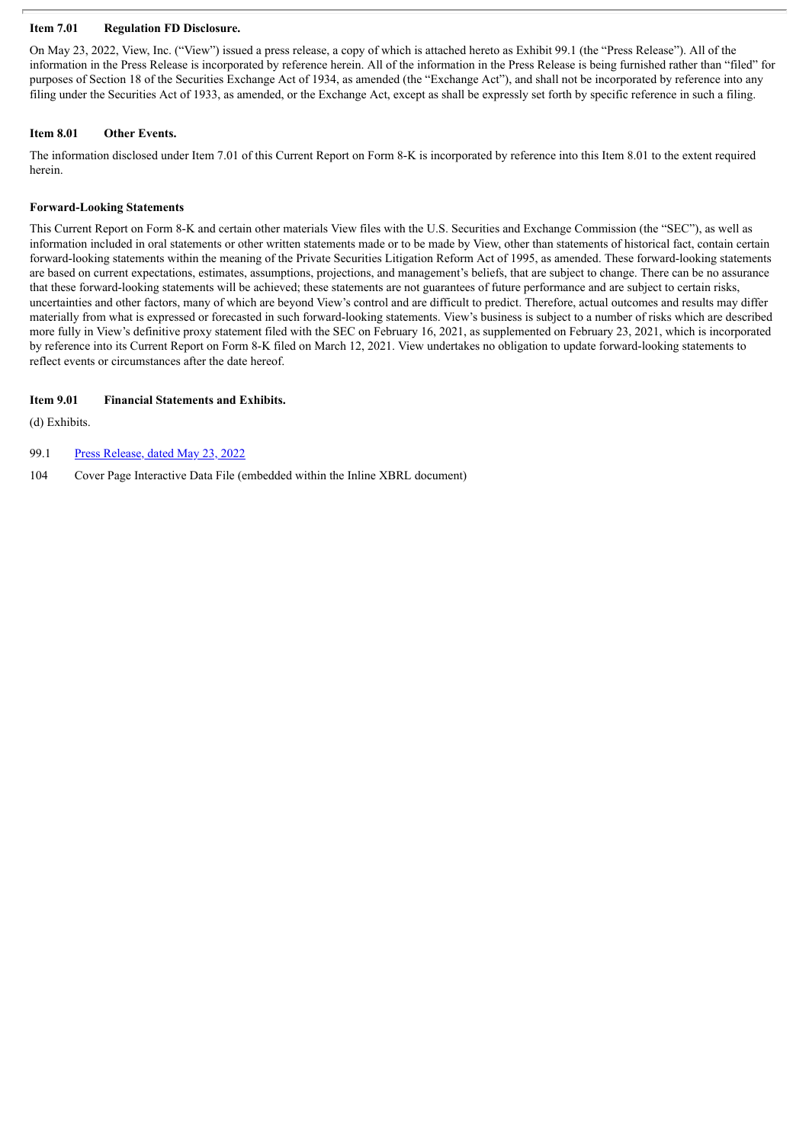# **Item 7.01 Regulation FD Disclosure.**

On May 23, 2022, View, Inc. ("View") issued a press release, a copy of which is attached hereto as Exhibit 99.1 (the "Press Release"). All of the information in the Press Release is incorporated by reference herein. All of the information in the Press Release is being furnished rather than "filed" for purposes of Section 18 of the Securities Exchange Act of 1934, as amended (the "Exchange Act"), and shall not be incorporated by reference into any filing under the Securities Act of 1933, as amended, or the Exchange Act, except as shall be expressly set forth by specific reference in such a filing.

# **Item 8.01 Other Events.**

The information disclosed under Item 7.01 of this Current Report on Form 8-K is incorporated by reference into this Item 8.01 to the extent required herein.

# **Forward-Looking Statements**

This Current Report on Form 8-K and certain other materials View files with the U.S. Securities and Exchange Commission (the "SEC"), as well as information included in oral statements or other written statements made or to be made by View, other than statements of historical fact, contain certain forward-looking statements within the meaning of the Private Securities Litigation Reform Act of 1995, as amended. These forward-looking statements are based on current expectations, estimates, assumptions, projections, and management's beliefs, that are subject to change. There can be no assurance that these forward-looking statements will be achieved; these statements are not guarantees of future performance and are subject to certain risks, uncertainties and other factors, many of which are beyond View's control and are difficult to predict. Therefore, actual outcomes and results may differ materially from what is expressed or forecasted in such forward-looking statements. View's business is subject to a number of risks which are described more fully in View's definitive proxy statement filed with the SEC on February 16, 2021, as supplemented on February 23, 2021, which is incorporated by reference into its Current Report on Form 8-K filed on March 12, 2021. View undertakes no obligation to update forward-looking statements to reflect events or circumstances after the date hereof.

# **Item 9.01 Financial Statements and Exhibits.**

(d) Exhibits.

99.1 Press [Release,](#page-3-0) dated May 23, 2022

104 Cover Page Interactive Data File (embedded within the Inline XBRL document)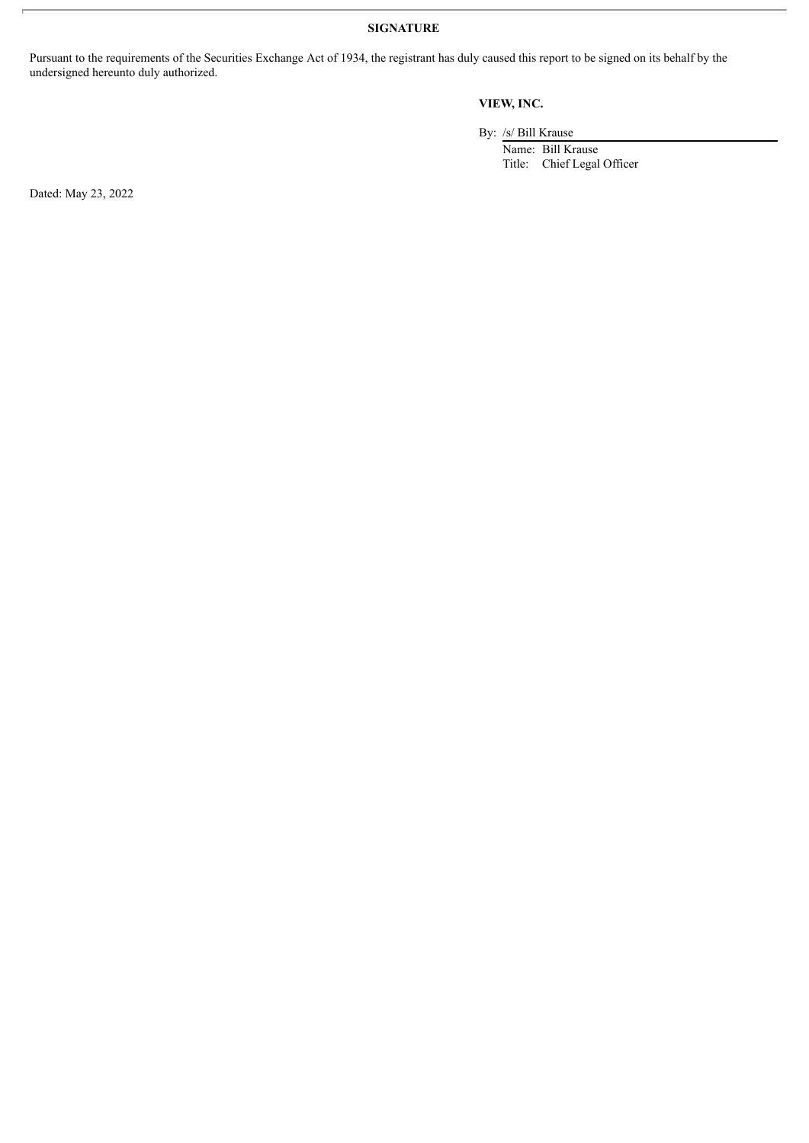**SIGNATURE**

Pursuant to the requirements of the Securities Exchange Act of 1934, the registrant has duly caused this report to be signed on its behalf by the undersigned hereunto duly authorized.

# **VIEW, INC.**

By: /s/ Bill Krause

Name: Bill Krause Title: Chief Legal Officer

Dated: May 23, 2022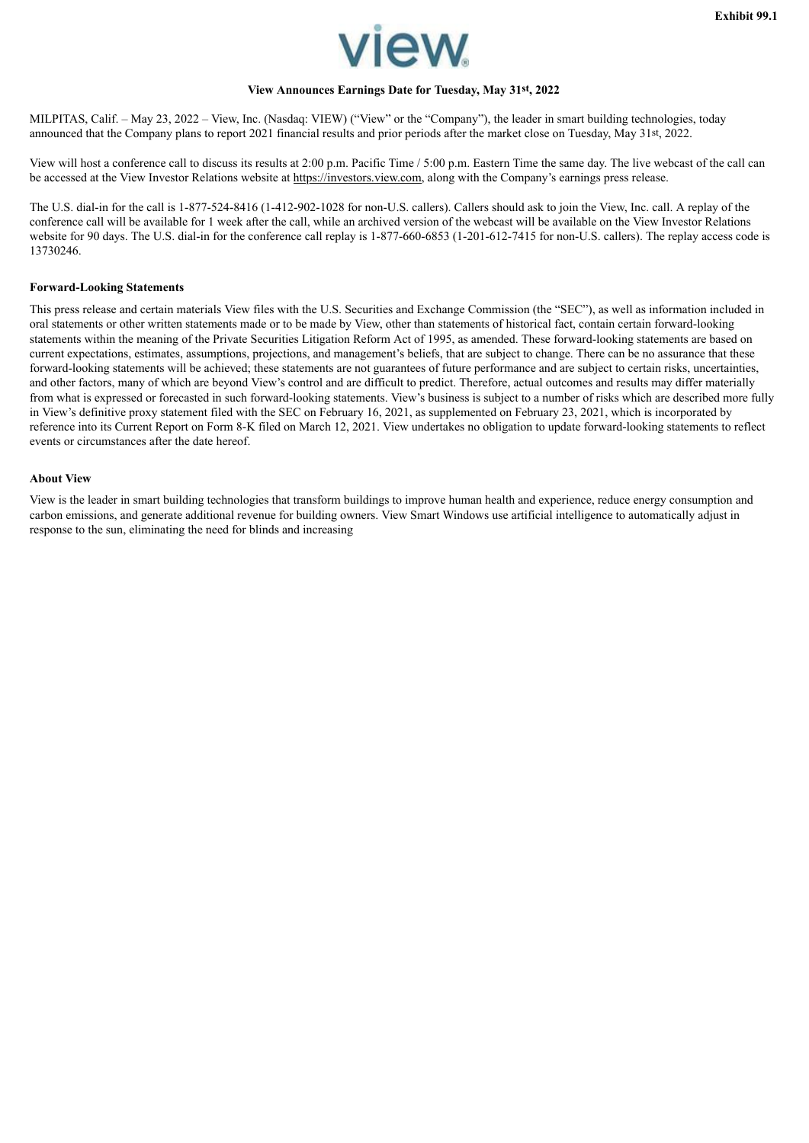

# **View Announces Earnings Date for Tuesday, May 31st, 2022**

<span id="page-3-0"></span>MILPITAS, Calif. – May 23, 2022 – View, Inc. (Nasdaq: VIEW) ("View" or the "Company"), the leader in smart building technologies, today announced that the Company plans to report 2021 financial results and prior periods after the market close on Tuesday, May 31st, 2022.

View will host a conference call to discuss its results at 2:00 p.m. Pacific Time / 5:00 p.m. Eastern Time the same day. The live webcast of the call can be accessed at the View Investor Relations website at https://investors.view.com, along with the Company's earnings press release.

The U.S. dial-in for the call is 1-877-524-8416 (1-412-902-1028 for non-U.S. callers). Callers should ask to join the View, Inc. call. A replay of the conference call will be available for 1 week after the call, while an archived version of the webcast will be available on the View Investor Relations website for 90 days. The U.S. dial-in for the conference call replay is 1-877-660-6853 (1-201-612-7415 for non-U.S. callers). The replay access code is 13730246.

#### **Forward-Looking Statements**

This press release and certain materials View files with the U.S. Securities and Exchange Commission (the "SEC"), as well as information included in oral statements or other written statements made or to be made by View, other than statements of historical fact, contain certain forward-looking statements within the meaning of the Private Securities Litigation Reform Act of 1995, as amended. These forward-looking statements are based on current expectations, estimates, assumptions, projections, and management's beliefs, that are subject to change. There can be no assurance that these forward-looking statements will be achieved; these statements are not guarantees of future performance and are subject to certain risks, uncertainties, and other factors, many of which are beyond View's control and are difficult to predict. Therefore, actual outcomes and results may differ materially from what is expressed or forecasted in such forward-looking statements. View's business is subject to a number of risks which are described more fully in View's definitive proxy statement filed with the SEC on February 16, 2021, as supplemented on February 23, 2021, which is incorporated by reference into its Current Report on Form 8-K filed on March 12, 2021. View undertakes no obligation to update forward-looking statements to reflect events or circumstances after the date hereof.

#### **About View**

View is the leader in smart building technologies that transform buildings to improve human health and experience, reduce energy consumption and carbon emissions, and generate additional revenue for building owners. View Smart Windows use artificial intelligence to automatically adjust in response to the sun, eliminating the need for blinds and increasing